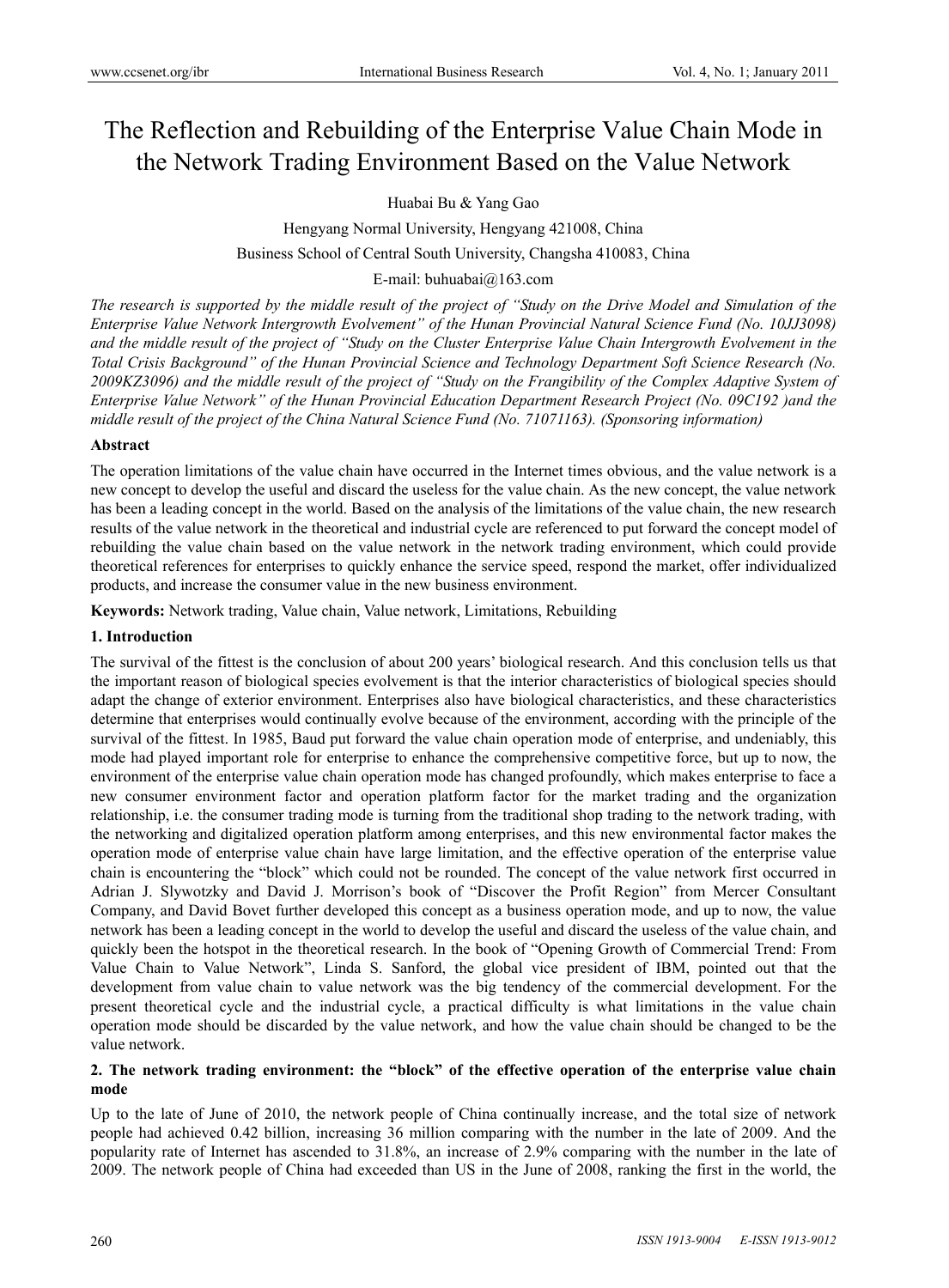# The Reflection and Rebuilding of the Enterprise Value Chain Mode in the Network Trading Environment Based on the Value Network

Huabai Bu & Yang Gao

Hengyang Normal University, Hengyang 421008, China

Business School of Central South University, Changsha 410083, China

E-mail: buhuabai@163.com

*The research is supported by the middle result of the project of "Study on the Drive Model and Simulation of the Enterprise Value Network Intergrowth Evolvement" of the Hunan Provincial Natural Science Fund (No. 10JJ3098) and the middle result of the project of "Study on the Cluster Enterprise Value Chain Intergrowth Evolvement in the Total Crisis Background" of the Hunan Provincial Science and Technology Department Soft Science Research (No. 2009KZ3096) and the middle result of the project of "Study on the Frangibility of the Complex Adaptive System of Enterprise Value Network" of the Hunan Provincial Education Department Research Project (No. 09C192 )and the middle result of the project of the China Natural Science Fund (No. 71071163). (Sponsoring information)* 

#### **Abstract**

The operation limitations of the value chain have occurred in the Internet times obvious, and the value network is a new concept to develop the useful and discard the useless for the value chain. As the new concept, the value network has been a leading concept in the world. Based on the analysis of the limitations of the value chain, the new research results of the value network in the theoretical and industrial cycle are referenced to put forward the concept model of rebuilding the value chain based on the value network in the network trading environment, which could provide theoretical references for enterprises to quickly enhance the service speed, respond the market, offer individualized products, and increase the consumer value in the new business environment.

**Keywords:** Network trading, Value chain, Value network, Limitations, Rebuilding

## **1. Introduction**

The survival of the fittest is the conclusion of about 200 years' biological research. And this conclusion tells us that the important reason of biological species evolvement is that the interior characteristics of biological species should adapt the change of exterior environment. Enterprises also have biological characteristics, and these characteristics determine that enterprises would continually evolve because of the environment, according with the principle of the survival of the fittest. In 1985, Baud put forward the value chain operation mode of enterprise, and undeniably, this mode had played important role for enterprise to enhance the comprehensive competitive force, but up to now, the environment of the enterprise value chain operation mode has changed profoundly, which makes enterprise to face a new consumer environment factor and operation platform factor for the market trading and the organization relationship, i.e. the consumer trading mode is turning from the traditional shop trading to the network trading, with the networking and digitalized operation platform among enterprises, and this new environmental factor makes the operation mode of enterprise value chain have large limitation, and the effective operation of the enterprise value chain is encountering the "block" which could not be rounded. The concept of the value network first occurred in Adrian J. Slywotzky and David J. Morrison's book of "Discover the Profit Region" from Mercer Consultant Company, and David Bovet further developed this concept as a business operation mode, and up to now, the value network has been a leading concept in the world to develop the useful and discard the useless of the value chain, and quickly been the hotspot in the theoretical research. In the book of "Opening Growth of Commercial Trend: From Value Chain to Value Network", Linda S. Sanford, the global vice president of IBM, pointed out that the development from value chain to value network was the big tendency of the commercial development. For the present theoretical cycle and the industrial cycle, a practical difficulty is what limitations in the value chain operation mode should be discarded by the value network, and how the value chain should be changed to be the value network.

#### **2. The network trading environment: the "block" of the effective operation of the enterprise value chain mode**

Up to the late of June of 2010, the network people of China continually increase, and the total size of network people had achieved 0.42 billion, increasing 36 million comparing with the number in the late of 2009. And the popularity rate of Internet has ascended to 31.8%, an increase of 2.9% comparing with the number in the late of 2009. The network people of China had exceeded than US in the June of 2008, ranking the first in the world, the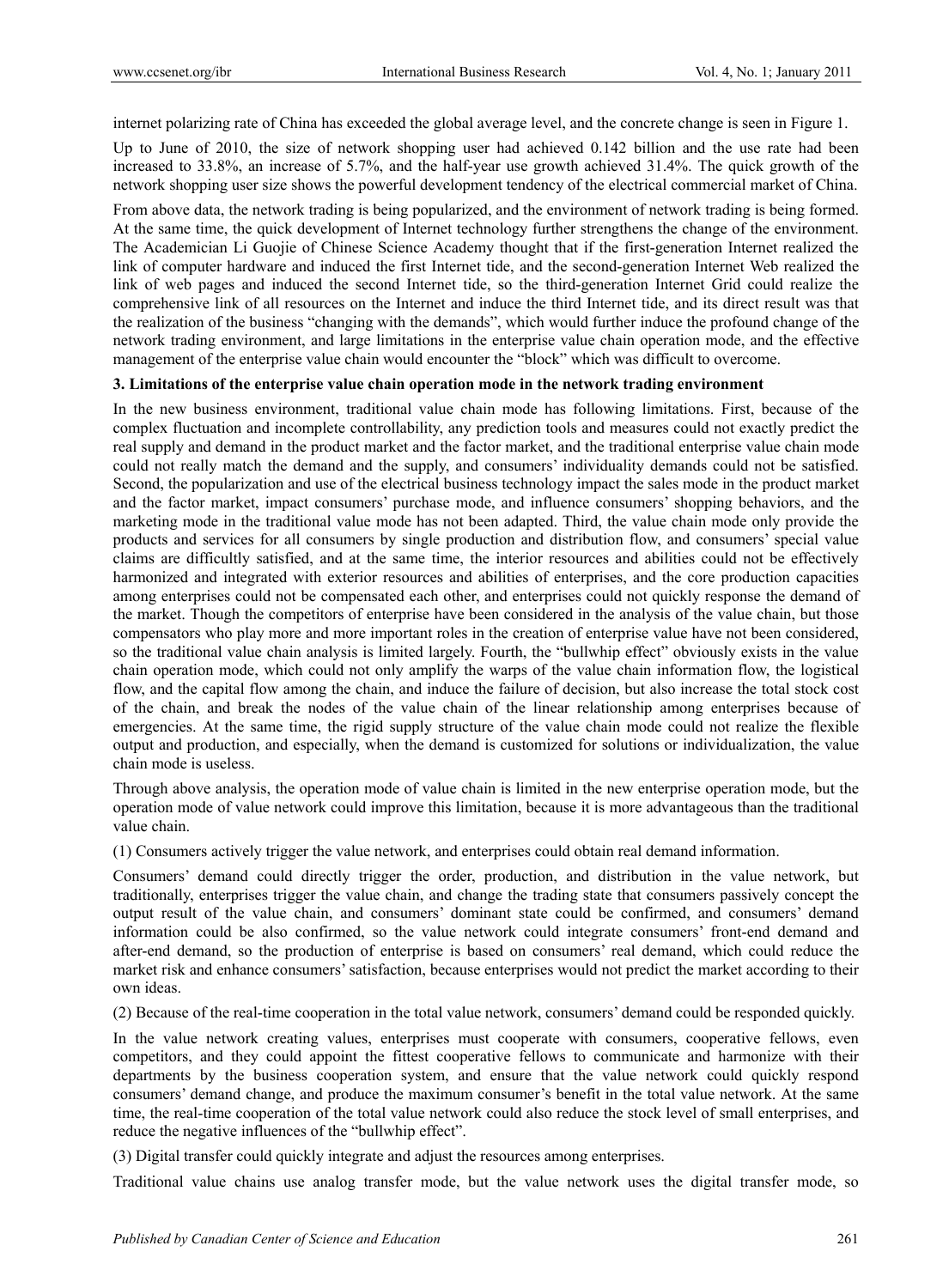internet polarizing rate of China has exceeded the global average level, and the concrete change is seen in Figure 1.

Up to June of 2010, the size of network shopping user had achieved 0.142 billion and the use rate had been increased to 33.8%, an increase of 5.7%, and the half-year use growth achieved 31.4%. The quick growth of the network shopping user size shows the powerful development tendency of the electrical commercial market of China.

From above data, the network trading is being popularized, and the environment of network trading is being formed. At the same time, the quick development of Internet technology further strengthens the change of the environment. The Academician Li Guojie of Chinese Science Academy thought that if the first-generation Internet realized the link of computer hardware and induced the first Internet tide, and the second-generation Internet Web realized the link of web pages and induced the second Internet tide, so the third-generation Internet Grid could realize the comprehensive link of all resources on the Internet and induce the third Internet tide, and its direct result was that the realization of the business "changing with the demands", which would further induce the profound change of the network trading environment, and large limitations in the enterprise value chain operation mode, and the effective management of the enterprise value chain would encounter the "block" which was difficult to overcome.

#### **3. Limitations of the enterprise value chain operation mode in the network trading environment**

In the new business environment, traditional value chain mode has following limitations. First, because of the complex fluctuation and incomplete controllability, any prediction tools and measures could not exactly predict the real supply and demand in the product market and the factor market, and the traditional enterprise value chain mode could not really match the demand and the supply, and consumers' individuality demands could not be satisfied. Second, the popularization and use of the electrical business technology impact the sales mode in the product market and the factor market, impact consumers' purchase mode, and influence consumers' shopping behaviors, and the marketing mode in the traditional value mode has not been adapted. Third, the value chain mode only provide the products and services for all consumers by single production and distribution flow, and consumers' special value claims are difficultly satisfied, and at the same time, the interior resources and abilities could not be effectively harmonized and integrated with exterior resources and abilities of enterprises, and the core production capacities among enterprises could not be compensated each other, and enterprises could not quickly response the demand of the market. Though the competitors of enterprise have been considered in the analysis of the value chain, but those compensators who play more and more important roles in the creation of enterprise value have not been considered, so the traditional value chain analysis is limited largely. Fourth, the "bullwhip effect" obviously exists in the value chain operation mode, which could not only amplify the warps of the value chain information flow, the logistical flow, and the capital flow among the chain, and induce the failure of decision, but also increase the total stock cost of the chain, and break the nodes of the value chain of the linear relationship among enterprises because of emergencies. At the same time, the rigid supply structure of the value chain mode could not realize the flexible output and production, and especially, when the demand is customized for solutions or individualization, the value chain mode is useless.

Through above analysis, the operation mode of value chain is limited in the new enterprise operation mode, but the operation mode of value network could improve this limitation, because it is more advantageous than the traditional value chain.

(1) Consumers actively trigger the value network, and enterprises could obtain real demand information.

Consumers' demand could directly trigger the order, production, and distribution in the value network, but traditionally, enterprises trigger the value chain, and change the trading state that consumers passively concept the output result of the value chain, and consumers' dominant state could be confirmed, and consumers' demand information could be also confirmed, so the value network could integrate consumers' front-end demand and after-end demand, so the production of enterprise is based on consumers' real demand, which could reduce the market risk and enhance consumers' satisfaction, because enterprises would not predict the market according to their own ideas.

(2) Because of the real-time cooperation in the total value network, consumers' demand could be responded quickly.

In the value network creating values, enterprises must cooperate with consumers, cooperative fellows, even competitors, and they could appoint the fittest cooperative fellows to communicate and harmonize with their departments by the business cooperation system, and ensure that the value network could quickly respond consumers' demand change, and produce the maximum consumer's benefit in the total value network. At the same time, the real-time cooperation of the total value network could also reduce the stock level of small enterprises, and reduce the negative influences of the "bullwhip effect".

(3) Digital transfer could quickly integrate and adjust the resources among enterprises.

Traditional value chains use analog transfer mode, but the value network uses the digital transfer mode, so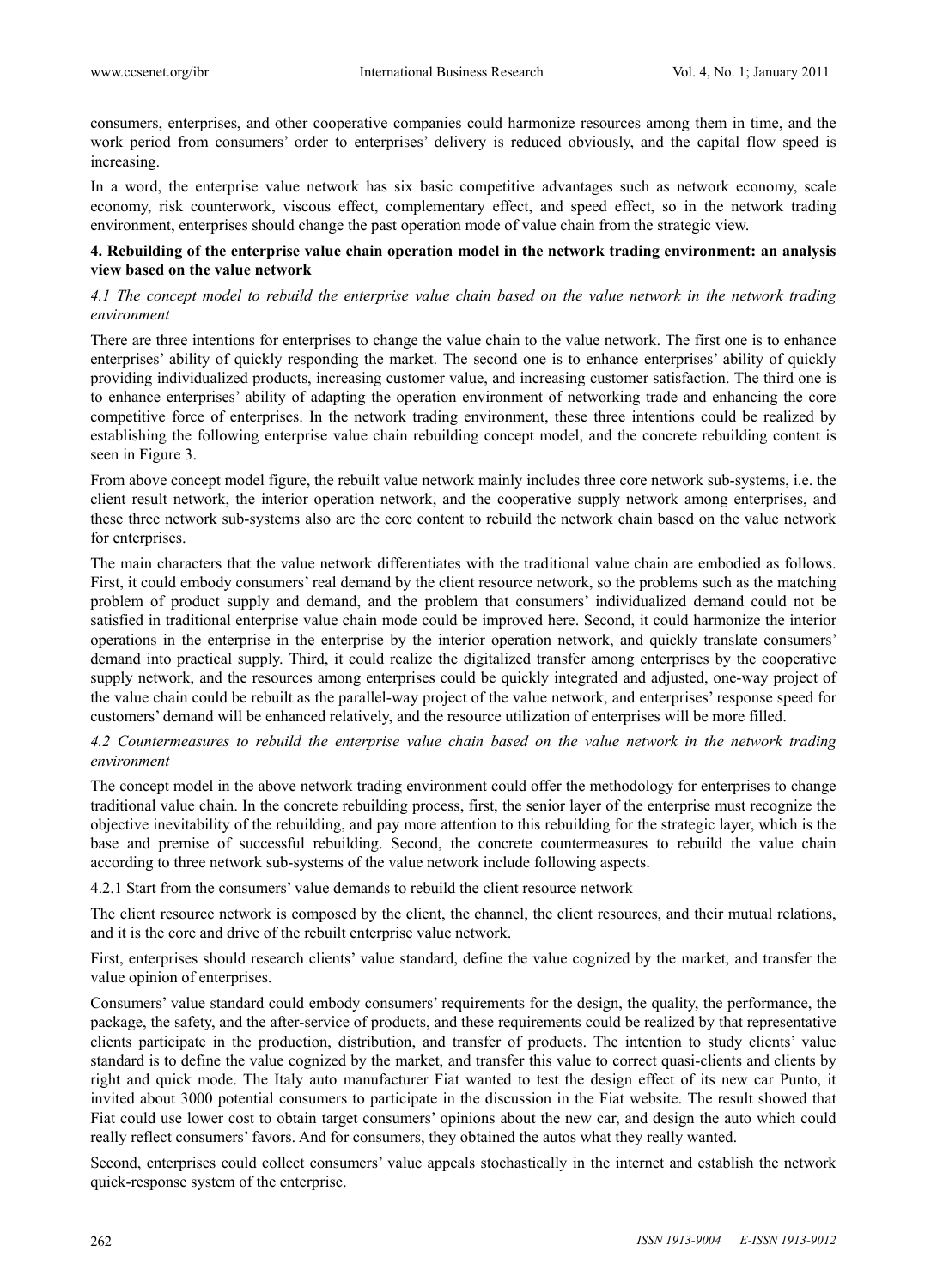consumers, enterprises, and other cooperative companies could harmonize resources among them in time, and the work period from consumers' order to enterprises' delivery is reduced obviously, and the capital flow speed is increasing.

In a word, the enterprise value network has six basic competitive advantages such as network economy, scale economy, risk counterwork, viscous effect, complementary effect, and speed effect, so in the network trading environment, enterprises should change the past operation mode of value chain from the strategic view.

### **4. Rebuilding of the enterprise value chain operation model in the network trading environment: an analysis view based on the value network**

### *4.1 The concept model to rebuild the enterprise value chain based on the value network in the network trading environment*

There are three intentions for enterprises to change the value chain to the value network. The first one is to enhance enterprises' ability of quickly responding the market. The second one is to enhance enterprises' ability of quickly providing individualized products, increasing customer value, and increasing customer satisfaction. The third one is to enhance enterprises' ability of adapting the operation environment of networking trade and enhancing the core competitive force of enterprises. In the network trading environment, these three intentions could be realized by establishing the following enterprise value chain rebuilding concept model, and the concrete rebuilding content is seen in Figure 3.

From above concept model figure, the rebuilt value network mainly includes three core network sub-systems, i.e. the client result network, the interior operation network, and the cooperative supply network among enterprises, and these three network sub-systems also are the core content to rebuild the network chain based on the value network for enterprises.

The main characters that the value network differentiates with the traditional value chain are embodied as follows. First, it could embody consumers' real demand by the client resource network, so the problems such as the matching problem of product supply and demand, and the problem that consumers' individualized demand could not be satisfied in traditional enterprise value chain mode could be improved here. Second, it could harmonize the interior operations in the enterprise in the enterprise by the interior operation network, and quickly translate consumers' demand into practical supply. Third, it could realize the digitalized transfer among enterprises by the cooperative supply network, and the resources among enterprises could be quickly integrated and adjusted, one-way project of the value chain could be rebuilt as the parallel-way project of the value network, and enterprises' response speed for customers' demand will be enhanced relatively, and the resource utilization of enterprises will be more filled.

#### *4.2 Countermeasures to rebuild the enterprise value chain based on the value network in the network trading environment*

The concept model in the above network trading environment could offer the methodology for enterprises to change traditional value chain. In the concrete rebuilding process, first, the senior layer of the enterprise must recognize the objective inevitability of the rebuilding, and pay more attention to this rebuilding for the strategic layer, which is the base and premise of successful rebuilding. Second, the concrete countermeasures to rebuild the value chain according to three network sub-systems of the value network include following aspects.

4.2.1 Start from the consumers' value demands to rebuild the client resource network

The client resource network is composed by the client, the channel, the client resources, and their mutual relations, and it is the core and drive of the rebuilt enterprise value network.

First, enterprises should research clients' value standard, define the value cognized by the market, and transfer the value opinion of enterprises.

Consumers' value standard could embody consumers' requirements for the design, the quality, the performance, the package, the safety, and the after-service of products, and these requirements could be realized by that representative clients participate in the production, distribution, and transfer of products. The intention to study clients' value standard is to define the value cognized by the market, and transfer this value to correct quasi-clients and clients by right and quick mode. The Italy auto manufacturer Fiat wanted to test the design effect of its new car Punto, it invited about 3000 potential consumers to participate in the discussion in the Fiat website. The result showed that Fiat could use lower cost to obtain target consumers' opinions about the new car, and design the auto which could really reflect consumers' favors. And for consumers, they obtained the autos what they really wanted.

Second, enterprises could collect consumers' value appeals stochastically in the internet and establish the network quick-response system of the enterprise.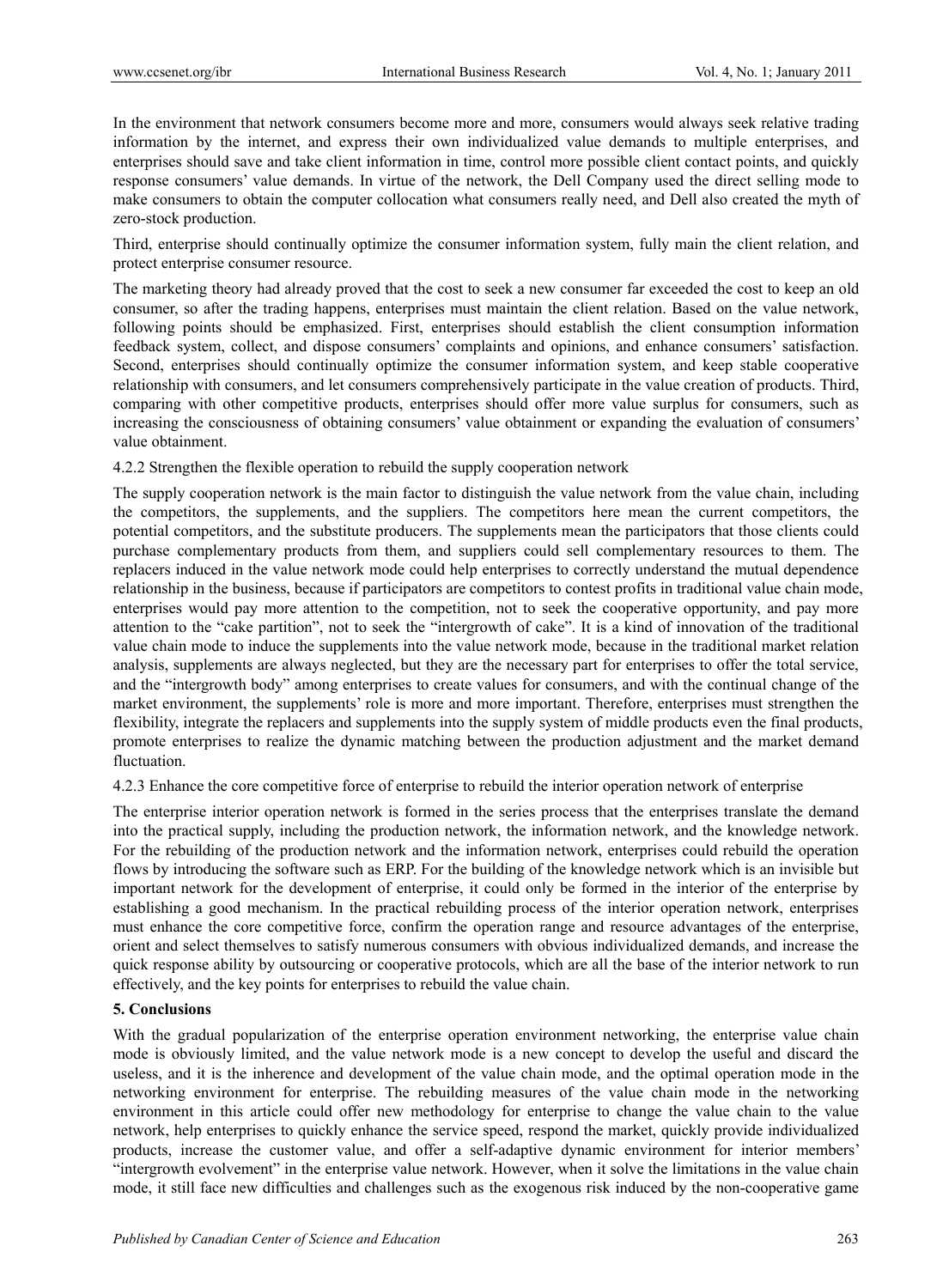In the environment that network consumers become more and more, consumers would always seek relative trading information by the internet, and express their own individualized value demands to multiple enterprises, and enterprises should save and take client information in time, control more possible client contact points, and quickly response consumers' value demands. In virtue of the network, the Dell Company used the direct selling mode to make consumers to obtain the computer collocation what consumers really need, and Dell also created the myth of zero-stock production.

Third, enterprise should continually optimize the consumer information system, fully main the client relation, and protect enterprise consumer resource.

The marketing theory had already proved that the cost to seek a new consumer far exceeded the cost to keep an old consumer, so after the trading happens, enterprises must maintain the client relation. Based on the value network, following points should be emphasized. First, enterprises should establish the client consumption information feedback system, collect, and dispose consumers' complaints and opinions, and enhance consumers' satisfaction. Second, enterprises should continually optimize the consumer information system, and keep stable cooperative relationship with consumers, and let consumers comprehensively participate in the value creation of products. Third, comparing with other competitive products, enterprises should offer more value surplus for consumers, such as increasing the consciousness of obtaining consumers' value obtainment or expanding the evaluation of consumers' value obtainment.

4.2.2 Strengthen the flexible operation to rebuild the supply cooperation network

The supply cooperation network is the main factor to distinguish the value network from the value chain, including the competitors, the supplements, and the suppliers. The competitors here mean the current competitors, the potential competitors, and the substitute producers. The supplements mean the participators that those clients could purchase complementary products from them, and suppliers could sell complementary resources to them. The replacers induced in the value network mode could help enterprises to correctly understand the mutual dependence relationship in the business, because if participators are competitors to contest profits in traditional value chain mode, enterprises would pay more attention to the competition, not to seek the cooperative opportunity, and pay more attention to the "cake partition", not to seek the "intergrowth of cake". It is a kind of innovation of the traditional value chain mode to induce the supplements into the value network mode, because in the traditional market relation analysis, supplements are always neglected, but they are the necessary part for enterprises to offer the total service, and the "intergrowth body" among enterprises to create values for consumers, and with the continual change of the market environment, the supplements' role is more and more important. Therefore, enterprises must strengthen the flexibility, integrate the replacers and supplements into the supply system of middle products even the final products, promote enterprises to realize the dynamic matching between the production adjustment and the market demand fluctuation.

4.2.3 Enhance the core competitive force of enterprise to rebuild the interior operation network of enterprise

The enterprise interior operation network is formed in the series process that the enterprises translate the demand into the practical supply, including the production network, the information network, and the knowledge network. For the rebuilding of the production network and the information network, enterprises could rebuild the operation flows by introducing the software such as ERP. For the building of the knowledge network which is an invisible but important network for the development of enterprise, it could only be formed in the interior of the enterprise by establishing a good mechanism. In the practical rebuilding process of the interior operation network, enterprises must enhance the core competitive force, confirm the operation range and resource advantages of the enterprise, orient and select themselves to satisfy numerous consumers with obvious individualized demands, and increase the quick response ability by outsourcing or cooperative protocols, which are all the base of the interior network to run effectively, and the key points for enterprises to rebuild the value chain.

#### **5. Conclusions**

With the gradual popularization of the enterprise operation environment networking, the enterprise value chain mode is obviously limited, and the value network mode is a new concept to develop the useful and discard the useless, and it is the inherence and development of the value chain mode, and the optimal operation mode in the networking environment for enterprise. The rebuilding measures of the value chain mode in the networking environment in this article could offer new methodology for enterprise to change the value chain to the value network, help enterprises to quickly enhance the service speed, respond the market, quickly provide individualized products, increase the customer value, and offer a self-adaptive dynamic environment for interior members' "intergrowth evolvement" in the enterprise value network. However, when it solve the limitations in the value chain mode, it still face new difficulties and challenges such as the exogenous risk induced by the non-cooperative game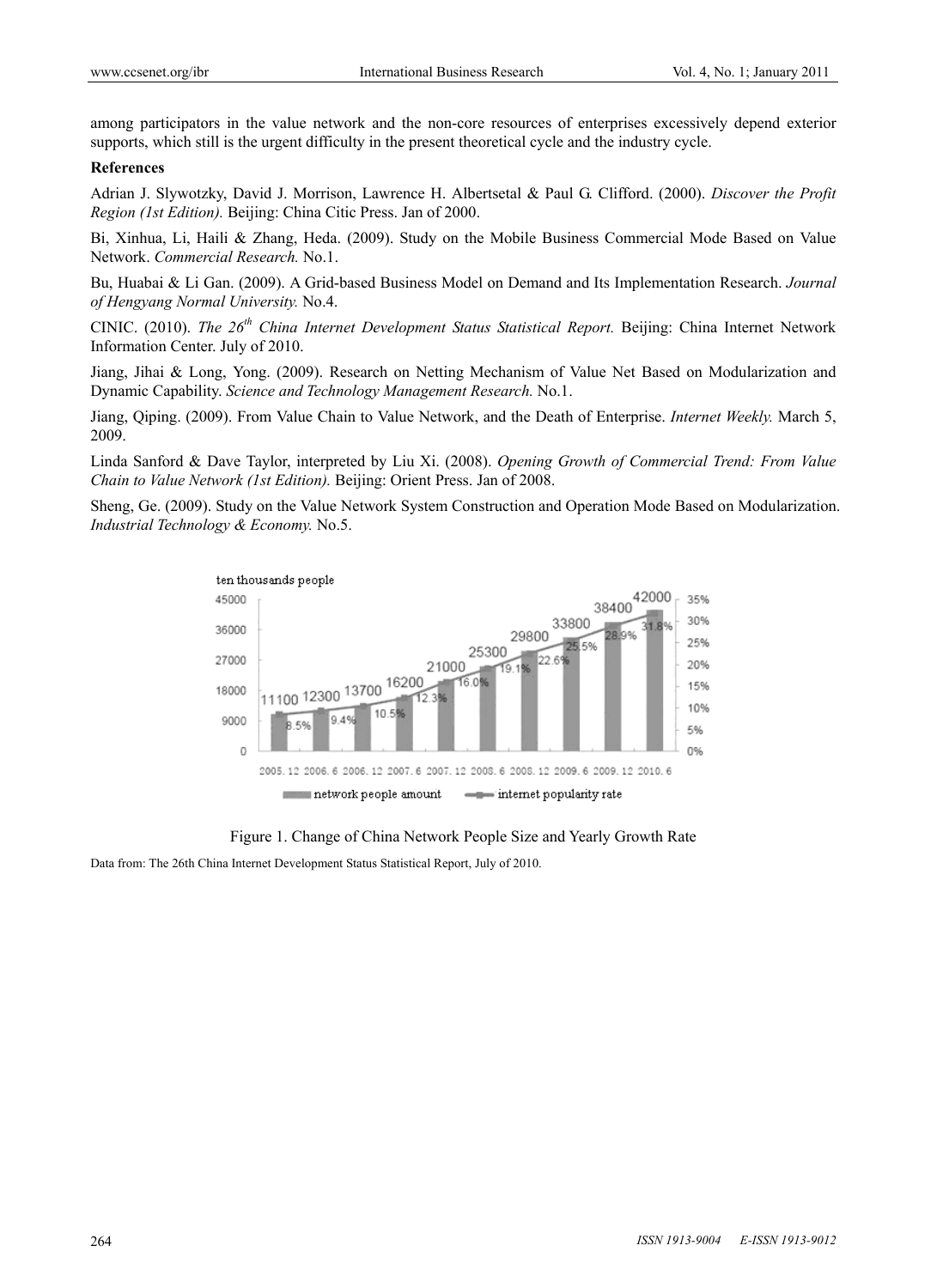among participators in the value network and the non-core resources of enterprises excessively depend exterior supports, which still is the urgent difficulty in the present theoretical cycle and the industry cycle.

### **References**

Adrian J. Slywotzky, David J. Morrison, Lawrence H. Albertsetal & Paul G. Clifford. (2000). *Discover the Profit Region (1st Edition).* Beijing: China Citic Press. Jan of 2000.

Bi, Xinhua, Li, Haili & Zhang, Heda. (2009). Study on the Mobile Business Commercial Mode Based on Value Network. *Commercial Research.* No.1.

Bu, Huabai & Li Gan. (2009). A Grid-based Business Model on Demand and Its Implementation Research. *Journal of Hengyang Normal University.* No.4.

CINIC. (2010). *The 26th China Internet Development Status Statistical Report.* Beijing: China Internet Network Information Center. July of 2010.

Jiang, Jihai & Long, Yong. (2009). Research on Netting Mechanism of Value Net Based on Modularization and Dynamic Capability. *Science and Technology Management Research.* No.1.

Jiang, Qiping. (2009). From Value Chain to Value Network, and the Death of Enterprise. *Internet Weekly.* March 5, 2009.

Linda Sanford & Dave Taylor, interpreted by Liu Xi. (2008). *Opening Growth of Commercial Trend: From Value Chain to Value Network (1st Edition).* Beijing: Orient Press. Jan of 2008.

Sheng, Ge. (2009). Study on the Value Network System Construction and Operation Mode Based on Modularization. *Industrial Technology & Economy.* No.5.



Figure 1. Change of China Network People Size and Yearly Growth Rate

Data from: The 26th China Internet Development Status Statistical Report, July of 2010.